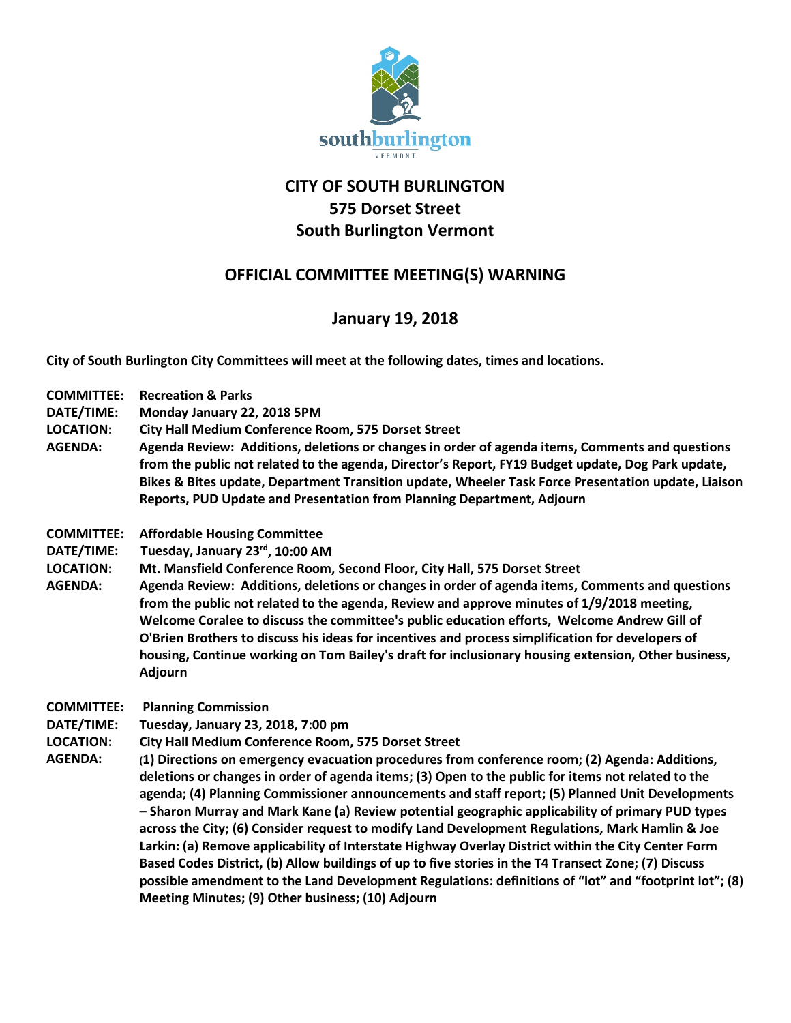

## **CITY OF SOUTH BURLINGTON 575 Dorset Street South Burlington Vermont**

## **OFFICIAL COMMITTEE MEETING(S) WARNING**

## **January 19, 2018**

**City of South Burlington City Committees will meet at the following dates, times and locations.** 

- **COMMITTEE: Recreation & Parks**
- **DATE/TIME: Monday January 22, 2018 5PM**
- **LOCATION: City Hall Medium Conference Room, 575 Dorset Street**
- **AGENDA: Agenda Review: Additions, deletions or changes in order of agenda items, Comments and questions from the public not related to the agenda, Director's Report, FY19 Budget update, Dog Park update, Bikes & Bites update, Department Transition update, Wheeler Task Force Presentation update, Liaison Reports, PUD Update and Presentation from Planning Department, Adjourn**
- **COMMITTEE: Affordable Housing Committee**
- **DATE/TIME: Tuesday, January 23rd, 10:00 AM**
- **LOCATION: Mt. Mansfield Conference Room, Second Floor, City Hall, 575 Dorset Street**
- **AGENDA: Agenda Review: Additions, deletions or changes in order of agenda items, Comments and questions from the public not related to the agenda, Review and approve minutes of 1/9/2018 meeting, Welcome Coralee to discuss the committee's public education efforts, Welcome Andrew Gill of O'Brien Brothers to discuss his ideas for incentives and process simplification for developers of housing, Continue working on Tom Bailey's draft for inclusionary housing extension, Other business, Adjourn**
- **COMMITTEE: Planning Commission**
- **DATE/TIME: Tuesday, January 23, 2018, 7:00 pm**
- **LOCATION: City Hall Medium Conference Room, 575 Dorset Street**
- **AGENDA: (1) Directions on emergency evacuation procedures from conference room; (2) Agenda: Additions, deletions or changes in order of agenda items; (3) Open to the public for items not related to the agenda; (4) Planning Commissioner announcements and staff report; (5) Planned Unit Developments – Sharon Murray and Mark Kane (a) Review potential geographic applicability of primary PUD types across the City; (6) Consider request to modify Land Development Regulations, Mark Hamlin & Joe Larkin: (a) Remove applicability of Interstate Highway Overlay District within the City Center Form Based Codes District, (b) Allow buildings of up to five stories in the T4 Transect Zone; (7) Discuss possible amendment to the Land Development Regulations: definitions of "lot" and "footprint lot"; (8) Meeting Minutes; (9) Other business; (10) Adjourn**